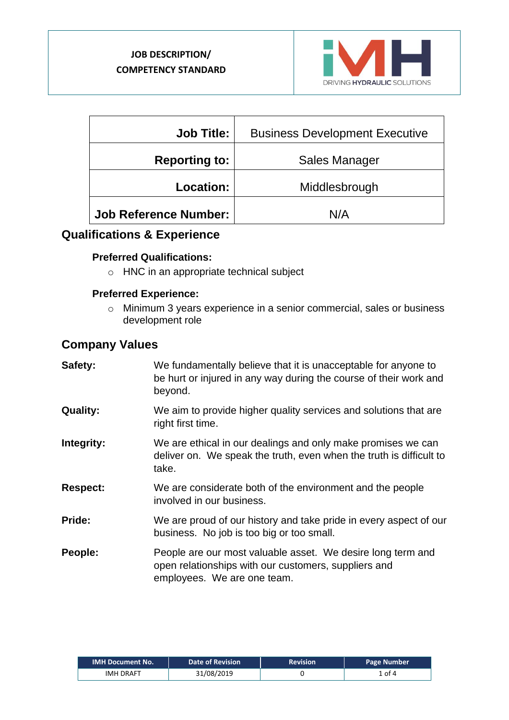

| <b>Job Title:</b>            | <b>Business Development Executive</b> |  |
|------------------------------|---------------------------------------|--|
| <b>Reporting to:</b>         | Sales Manager                         |  |
| Location:                    | Middlesbrough                         |  |
| <b>Job Reference Number:</b> | N/A                                   |  |

# **Qualifications & Experience**

#### **Preferred Qualifications:**

o HNC in an appropriate technical subject

#### **Preferred Experience:**

o Minimum 3 years experience in a senior commercial, sales or business development role

# **Company Values**

| Safety:         | We fundamentally believe that it is unacceptable for anyone to<br>be hurt or injured in any way during the course of their work and<br>beyond.     |
|-----------------|----------------------------------------------------------------------------------------------------------------------------------------------------|
| <b>Quality:</b> | We aim to provide higher quality services and solutions that are<br>right first time.                                                              |
| Integrity:      | We are ethical in our dealings and only make promises we can<br>deliver on. We speak the truth, even when the truth is difficult to<br>take.       |
| <b>Respect:</b> | We are considerate both of the environment and the people<br>involved in our business.                                                             |
| Pride:          | We are proud of our history and take pride in every aspect of our<br>business. No job is too big or too small.                                     |
| People:         | People are our most valuable asset. We desire long term and<br>open relationships with our customers, suppliers and<br>employees. We are one team. |

| <b>IMH Document No.</b> | <b>Date of Revision</b> | <b>Revision</b> | Page Number |
|-------------------------|-------------------------|-----------------|-------------|
| <b>IMH DRAFT</b>        | 31/08/2019              |                 | ⊥ of 4      |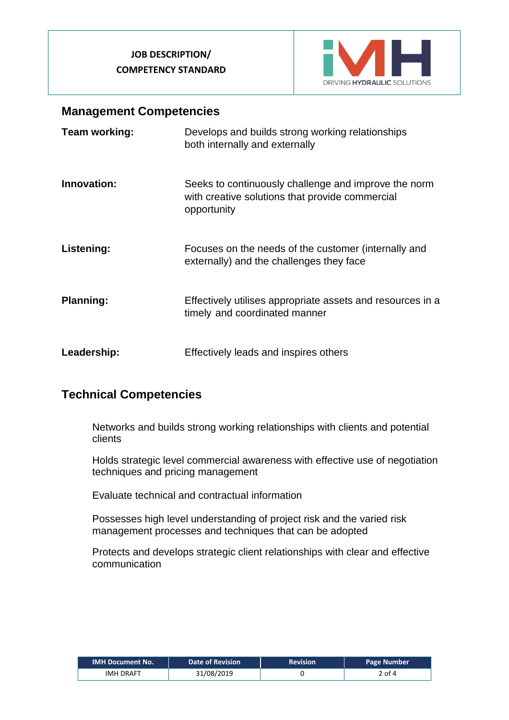### **JOB DESCRIPTION/ COMPETENCY STANDARD**



## **Management Competencies**

| Team working:    | Develops and builds strong working relationships<br>both internally and externally                                     |
|------------------|------------------------------------------------------------------------------------------------------------------------|
| Innovation:      | Seeks to continuously challenge and improve the norm<br>with creative solutions that provide commercial<br>opportunity |
| Listening:       | Focuses on the needs of the customer (internally and<br>externally) and the challenges they face                       |
| <b>Planning:</b> | Effectively utilises appropriate assets and resources in a<br>timely and coordinated manner                            |
| Leadership:      | Effectively leads and inspires others                                                                                  |

# **Technical Competencies**

Networks and builds strong working relationships with clients and potential clients

Holds strategic level commercial awareness with effective use of negotiation techniques and pricing management

Evaluate technical and contractual information

Possesses high level understanding of project risk and the varied risk management processes and techniques that can be adopted

Protects and develops strategic client relationships with clear and effective communication

| <b>IMH Document No.</b> | <b>Date of Revision</b> | <b>Revision</b> | <b>Page Number</b> |
|-------------------------|-------------------------|-----------------|--------------------|
| <b>IMH DRAFT</b>        | 31/08/2019              |                 | 2 of 4             |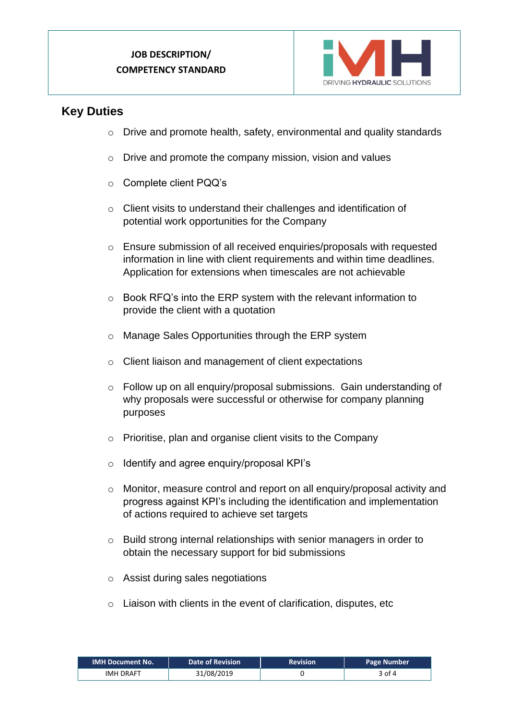### **JOB DESCRIPTION/ COMPETENCY STANDARD**



## **Key Duties**

- o Drive and promote health, safety, environmental and quality standards
- $\circ$  Drive and promote the company mission, vision and values
- o Complete client PQQ's
- o Client visits to understand their challenges and identification of potential work opportunities for the Company
- o Ensure submission of all received enquiries/proposals with requested information in line with client requirements and within time deadlines. Application for extensions when timescales are not achievable
- o Book RFQ's into the ERP system with the relevant information to provide the client with a quotation
- o Manage Sales Opportunities through the ERP system
- o Client liaison and management of client expectations
- o Follow up on all enquiry/proposal submissions. Gain understanding of why proposals were successful or otherwise for company planning purposes
- o Prioritise, plan and organise client visits to the Company
- o Identify and agree enquiry/proposal KPI's
- o Monitor, measure control and report on all enquiry/proposal activity and progress against KPI's including the identification and implementation of actions required to achieve set targets
- o Build strong internal relationships with senior managers in order to obtain the necessary support for bid submissions
- o Assist during sales negotiations
- o Liaison with clients in the event of clarification, disputes, etc

| <b>IMH Document No.</b> | <b>Date of Revision</b> | <b>Revision</b> | <b>Page Number</b> |
|-------------------------|-------------------------|-----------------|--------------------|
| <b>IMH DRAFT</b>        | 31/08/2019              |                 | 3 of 4             |